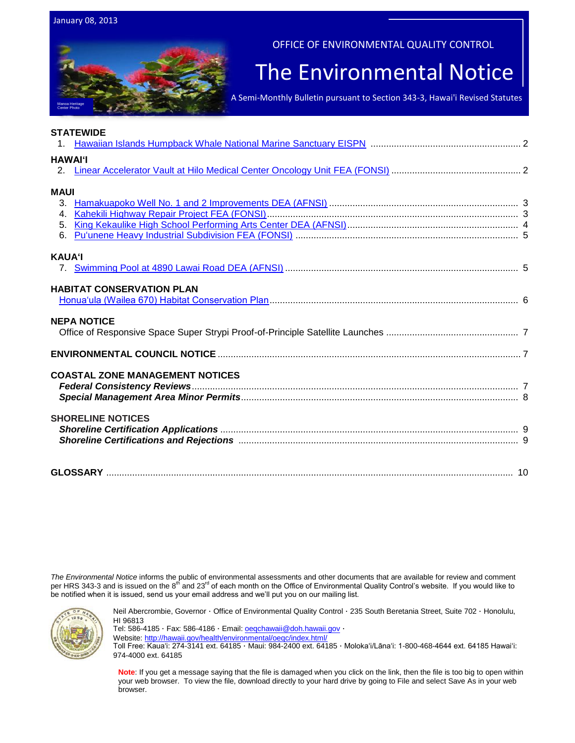Manoa Heritage Center Photo

OFFICE OF ENVIRONMENTAL QUALITY CONTROL

## The Environmental Notice

A Semi-Monthly Bulletin pursuant to Section 343-3, Hawai'i Revised Statutes

|                | <b>STATEWIDE</b>                       |  |
|----------------|----------------------------------------|--|
|                |                                        |  |
| <b>HAWAI'I</b> |                                        |  |
|                |                                        |  |
|                |                                        |  |
| <b>MAUI</b>    |                                        |  |
| 3.             |                                        |  |
| 4 <sup>1</sup> |                                        |  |
|                |                                        |  |
|                |                                        |  |
| <b>KAUA'I</b>  |                                        |  |
|                |                                        |  |
|                |                                        |  |
|                | <b>HABITAT CONSERVATION PLAN</b>       |  |
|                |                                        |  |
|                | <b>NEPA NOTICE</b>                     |  |
|                |                                        |  |
|                |                                        |  |
|                |                                        |  |
|                |                                        |  |
|                | <b>COASTAL ZONE MANAGEMENT NOTICES</b> |  |
|                |                                        |  |
|                |                                        |  |
|                | <b>SHORELINE NOTICES</b>               |  |
|                |                                        |  |
|                |                                        |  |
|                |                                        |  |
|                |                                        |  |
|                |                                        |  |

*The Environmental Notice* informs the public of environmental assessments and other documents that are available for review and comment per HRS 343-3 and is issued on the 8<sup>th</sup> and 23<sup>rd</sup> of each month on the Office of Environmental Quality Control's website. If you would like to be notified when it is issued, send us your email address and we'll put you on our mailing list.



Neil Abercrombie, Governor · Office of Environmental Quality Control · 235 South Beretania Street, Suite 702 · Honolulu, HI 96813

Tel: 586-4185 · Fax: 586-4186 · Email: oegchawaii@doh.hawaii.gov ·

Website:<http://hawaii.gov/health/environmental/oeqc/index.html/>

Toll Free: Kauaʻi: 274-3141 ext. 64185 · Maui: 984-2400 ext. 64185 · Molokaʻi/Lānaʻi: 1-800-468-4644 ext. 64185 Hawaiʻi: 974-4000 ext. 64185

**Note**: If you get a message saying that the file is damaged when you click on the link, then the file is too big to open within your web browser. To view the file, download directly to your hard drive by going to File and select Save As in your web browser.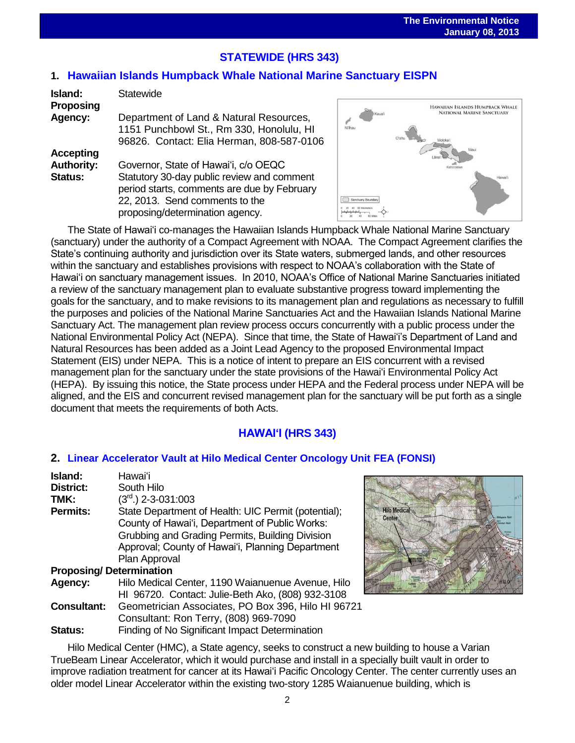# **STATEWIDE (HRS 343)**

## **1. Hawaiian [Islands Humpback Whale National Marine Sanctuary](http://oeqc.doh.hawaii.gov/Shared%20Documents/EA_and_EIS_Online_Library/Statewide/2010s/2013-01-08-EISPN-5B-Hawaiian-Islands-Humpback-Whale-National-Marine-Sanctuary.pdf) EISPN**

| Island:           | <b>Statewide</b>                            |  |
|-------------------|---------------------------------------------|--|
| Proposing         |                                             |  |
| Agency:           | Department of Land & Natural Resources,     |  |
|                   | 1151 Punchbowl St., Rm 330, Honolulu, HI    |  |
|                   | 96826. Contact: Elia Herman, 808-587-0106   |  |
| <b>Accepting</b>  |                                             |  |
| <b>Authority:</b> | Governor, State of Hawai'i, c/o OEQC        |  |
| <b>Status:</b>    | Statutory 30-day public review and comment  |  |
|                   | period starts, comments are due by February |  |
|                   | 22, 2013. Send comments to the              |  |
|                   | proposing/determination agency.             |  |



The State of Hawaiʻi co-manages the Hawaiian Islands Humpback Whale National Marine Sanctuary (sanctuary) under the authority of a Compact Agreement with NOAA. The Compact Agreement clarifies the State's continuing authority and jurisdiction over its State waters, submerged lands, and other resources within the sanctuary and establishes provisions with respect to NOAA's collaboration with the State of Hawaiʻi on sanctuary management issues. In 2010, NOAA's Office of National Marine Sanctuaries initiated a review of the sanctuary management plan to evaluate substantive progress toward implementing the goals for the sanctuary, and to make revisions to its management plan and regulations as necessary to fulfill the purposes and policies of the National Marine Sanctuaries Act and the Hawaiian Islands National Marine Sanctuary Act. The management plan review process occurs concurrently with a public process under the National Environmental Policy Act (NEPA). Since that time, the State of Hawaiʻi's Department of Land and Natural Resources has been added as a Joint Lead Agency to the proposed Environmental Impact Statement (EIS) under NEPA. This is a notice of intent to prepare an EIS concurrent with a revised management plan for the sanctuary under the state provisions of the Hawaiʻi Environmental Policy Act (HEPA). By issuing this notice, the State process under HEPA and the Federal process under NEPA will be aligned, and the EIS and concurrent revised management plan for the sanctuary will be put forth as a single document that meets the requirements of both Acts.

## **HAWAIʻI (HRS 343)**

## **2. [Linear Accelerator Vault at Hilo Medical Center Oncology Unit](http://oeqc.doh.hawaii.gov/Shared%20Documents/EA_and_EIS_Online_Library/Hawaii/2010s/2013-01-08-FEA-5B-Linear-Accelerator-Vault-Hilo-Medical-Center-Oncology-Unit.pdf) FEA (FONSI)**

| Island:                        | Hawai'i                                             |
|--------------------------------|-----------------------------------------------------|
| <b>District:</b>               | South Hilo                                          |
| TMK:                           | $(3rd)$ 2-3-031:003                                 |
| <b>Permits:</b>                | State Department of Health: UIC Permit (potential); |
|                                | County of Hawai'i, Department of Public Works:      |
|                                | Grubbing and Grading Permits, Building Division     |
|                                | Approval; County of Hawai'i, Planning Department    |
|                                | Plan Approval                                       |
| <b>Proposing/Determination</b> |                                                     |
| Agency:                        | Hilo Medical Center, 1190 Waianuenue Avenue, Hilo   |
|                                | HI 96720. Contact: Julie-Beth Ako, (808) 932-3108   |
| <b>Consultant:</b>             | Geometrician Associates, PO Box 396, Hilo HI 96721  |
|                                | Consultant: Ron Terry, (808) 969-7090               |
| Status:                        | Finding of No Significant Impact Determination      |



Hilo Medical Center (HMC), a State agency, seeks to construct a new building to house a Varian TrueBeam Linear Accelerator, which it would purchase and install in a specially built vault in order to improve radiation treatment for cancer at its Hawaiʻi Pacific Oncology Center. The center currently uses an older model Linear Accelerator within the existing two-story 1285 Waianuenue building, which is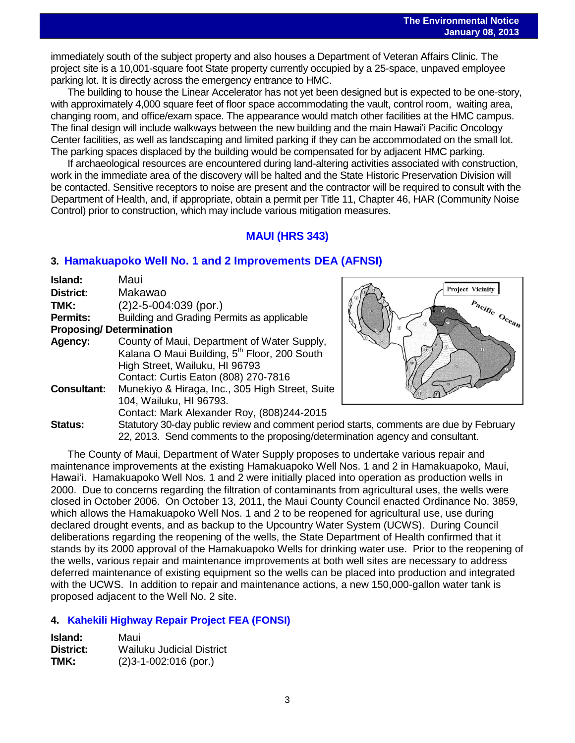immediately south of the subject property and also houses a Department of Veteran Affairs Clinic. The<br>immediately south of the subject property and also houses a Department of Veteran Affairs Clinic. The project site is a 10,001-square foot State property currently occupied by a 25-space, unpaved employee parking lot. It is directly across the emergency entrance to HMC.

The building to house the Linear Accelerator has not yet been designed but is expected to be one-story, with approximately 4,000 square feet of floor space accommodating the vault, control room, waiting area, changing room, and office/exam space. The appearance would match other facilities at the HMC campus. The final design will include walkways between the new building and the main Hawaiʻi Pacific Oncology Center facilities, as well as landscaping and limited parking if they can be accommodated on the small lot. The parking spaces displaced by the building would be compensated for by adjacent HMC parking.

If archaeological resources are encountered during land-altering activities associated with construction, work in the immediate area of the discovery will be halted and the State Historic Preservation Division will be contacted. Sensitive receptors to noise are present and the contractor will be required to consult with the Department of Health, and, if appropriate, obtain a permit per Title 11, Chapter 46, HAR (Community Noise Control) prior to construction, which may include various mitigation measures.

## **MAUI (HRS 343)**

## **3. [Hamakuapoko Well No. 1 and 2 Improvements](http://oeqc.doh.hawaii.gov/Shared%20Documents/EA_and_EIS_Online_Library/Maui/2010s/2013-01-08-DEA-5B-Hamakuapoko-Wells-Nos.-1-and-2-Improvements.pdf) DEA (AFNSI)**

| Island:                        | Maui                                                     |
|--------------------------------|----------------------------------------------------------|
| <b>District:</b>               | Makawao                                                  |
| TMK:                           | $(2)$ 2-5-004:039 (por.)                                 |
| <b>Permits:</b>                | Building and Grading Permits as applicable               |
| <b>Proposing/Determination</b> |                                                          |
| Agency:                        | County of Maui, Department of Water Supply,              |
|                                | Kalana O Maui Building, 5 <sup>th</sup> Floor, 200 South |
|                                | High Street, Wailuku, HI 96793                           |
|                                | Contact: Curtis Eaton (808) 270-7816                     |
| <b>Consultant:</b>             | Munekiyo & Hiraga, Inc., 305 High Street, Suite          |
|                                | 104, Wailuku, HI 96793.                                  |
|                                | Contact: Mark Alexander Roy, (808)244-2015               |
| Status:                        | Statutory 30-day public review and comment period        |
|                                |                                                          |



d starts, comments are due by February 22, 2013. Send comments to the proposing/determination agency and consultant.

The County of Maui, Department of Water Supply proposes to undertake various repair and maintenance improvements at the existing Hamakuapoko Well Nos. 1 and 2 in Hamakuapoko, Maui, Hawaiʻi. Hamakuapoko Well Nos. 1 and 2 were initially placed into operation as production wells in 2000. Due to concerns regarding the filtration of contaminants from agricultural uses, the wells were closed in October 2006. On October 13, 2011, the Maui County Council enacted Ordinance No. 3859, which allows the Hamakuapoko Well Nos. 1 and 2 to be reopened for agricultural use, use during declared drought events, and as backup to the Upcountry Water System (UCWS). During Council deliberations regarding the reopening of the wells, the State Department of Health confirmed that it stands by its 2000 approval of the Hamakuapoko Wells for drinking water use. Prior to the reopening of the wells, various repair and maintenance improvements at both well sites are necessary to address deferred maintenance of existing equipment so the wells can be placed into production and integrated with the UCWS. In addition to repair and maintenance actions, a new 150,000-gallon water tank is proposed adjacent to the Well No. 2 site.

## **4. [Kahekili Highway Repair Project](http://oeqc.doh.hawaii.gov/Shared%20Documents/EA_and_EIS_Online_Library/Maui/2010s/2013-01-08-FEA-5B-Kahekili-Highway-Repair-Project.pdf) FEA (FONSI)**

| Island:   | Maui                        |
|-----------|-----------------------------|
| District: | Wailuku Judicial District   |
| TMK:      | $(2)3 - 1 - 002:016$ (por.) |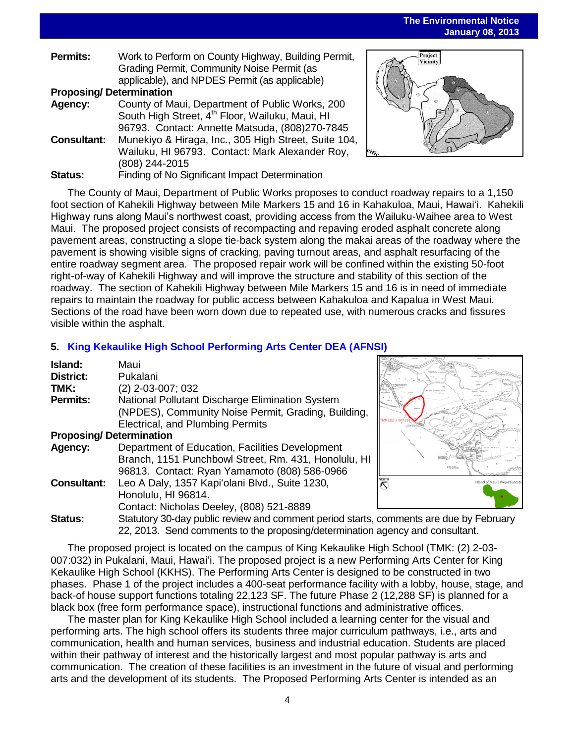**The Environmental Notice January 08, 2013** 

| <b>Permits:</b>                | Work to Perform on County Highway, Building Permit,         |  |
|--------------------------------|-------------------------------------------------------------|--|
|                                | Grading Permit, Community Noise Permit (as                  |  |
|                                | applicable), and NPDES Permit (as applicable)               |  |
| <b>Proposing/Determination</b> |                                                             |  |
| Agency:                        | County of Maui, Department of Public Works, 200             |  |
|                                | South High Street, 4 <sup>th</sup> Floor, Wailuku, Maui, HI |  |
|                                | 96793. Contact: Annette Matsuda, (808)270-7845              |  |
| <b>Consultant:</b>             | Munekiyo & Hiraga, Inc., 305 High Street, Suite 104,        |  |
|                                | Wailuku, HI 96793. Contact: Mark Alexander Roy,             |  |
|                                | (808) 244-2015                                              |  |
| <b>Status:</b>                 | Finding of No Significant Impact Determination              |  |



The County of Maui, Department of Public Works proposes to conduct roadway repairs to a 1,150 foot section of Kahekili Highway between Mile Markers 15 and 16 in Kahakuloa, Maui, Hawaiʻi. Kahekili Highway runs along Maui's northwest coast, providing access from the Wailuku-Waihee area to West Maui. The proposed project consists of recompacting and repaving eroded asphalt concrete along pavement areas, constructing a slope tie-back system along the makai areas of the roadway where the pavement is showing visible signs of cracking, paving turnout areas, and asphalt resurfacing of the entire roadway segment area. The proposed repair work will be confined within the existing 50-foot right-of-way of Kahekili Highway and will improve the structure and stability of this section of the roadway. The section of Kahekili Highway between Mile Markers 15 and 16 is in need of immediate repairs to maintain the roadway for public access between Kahakuloa and Kapalua in West Maui. Sections of the road have been worn down due to repeated use, with numerous cracks and fissures visible within the asphalt.

### **5. [King Kekaulike High School Performing Arts Center](http://oeqc.doh.hawaii.gov/Shared%20Documents/EA_and_EIS_Online_Library/Maui/2010s/2013-01-08-DEA-5B-King-Kekaulike-High-School-Performing-Arts-Center.pdf) DEA (AFNSI)**

| Island:                        | Maui                                                     |  |
|--------------------------------|----------------------------------------------------------|--|
| <b>District:</b>               | Pukalani                                                 |  |
| TMK:                           | $(2)$ 2-03-007; 032                                      |  |
| <b>Permits:</b>                | National Pollutant Discharge Elimination System          |  |
|                                | (NPDES), Community Noise Permit, Grading, Building,      |  |
|                                | Electrical, and Plumbing Permits                         |  |
| <b>Proposing/Determination</b> |                                                          |  |
| Agency:                        | Department of Education, Facilities Development          |  |
|                                | Branch, 1151 Punchbowl Street, Rm. 431, Honolulu, HI     |  |
|                                | 96813. Contact: Ryan Yamamoto (808) 586-0966             |  |
| <b>Consultant:</b>             | Leo A Daly, 1357 Kapi'olani Blvd., Suite 1230,           |  |
|                                | Honolulu, HI 96814.                                      |  |
|                                | Contact: Nicholas Deeley, (808) 521-8889                 |  |
| Status:                        | Statutory 30-day public review and comment period starts |  |
|                                |                                                          |  |



s, comments are due by February 22, 2013. Send comments to the proposing/determination agency and consultant.

The proposed project is located on the campus of King Kekaulike High School (TMK: (2) 2-03- 007:032) in Pukalani, Maui, Hawaiʻi. The proposed project is a new Performing Arts Center for King Kekaulike High School (KKHS). The Performing Arts Center is designed to be constructed in two phases. Phase 1 of the project includes a 400-seat performance facility with a lobby, house, stage, and back-of house support functions totaling 22,123 SF. The future Phase 2 (12,288 SF) is planned for a black box (free form performance space), instructional functions and administrative offices.

The master plan for King Kekaulike High School included a learning center for the visual and performing arts. The high school offers its students three major curriculum pathways, i.e., arts and communication, health and human services, business and industrial education. Students are placed within their pathway of interest and the historically largest and most popular pathway is arts and communication. The creation of these facilities is an investment in the future of visual and performing arts and the development of its students. The Proposed Performing Arts Center is intended as an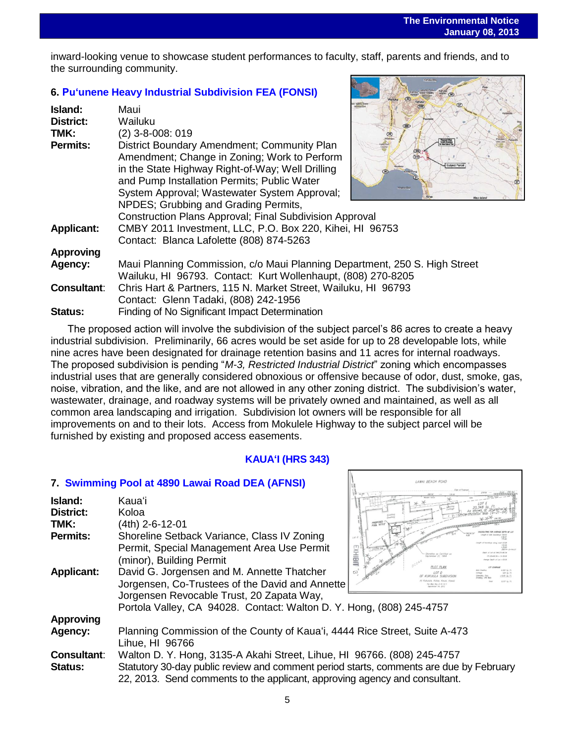inward-looking venue to showcase student performances to faculty, staff, parents and friends, and to the surrounding community.

## **6. [Puʻunene Heavy Industrial Subdivision](http://oeqc.doh.hawaii.gov/Shared%20Documents/EA_and_EIS_Online_Library/Maui/2010s/2013-01-08-FEA-5C-Puunene-Heavy-Industrial-Subdivision.pdf) FEA (FONSI)**

| Island:<br><b>District:</b><br>TMK: | <b>Monay</b> en<br>Maui<br>Wailuku<br>$(2)$ 3-8-008: 019                                                                                                                                                                                                                                                                                                                                                                                                                                   |
|-------------------------------------|--------------------------------------------------------------------------------------------------------------------------------------------------------------------------------------------------------------------------------------------------------------------------------------------------------------------------------------------------------------------------------------------------------------------------------------------------------------------------------------------|
| <b>Permits:</b>                     | <b>Proposed Urban</b><br>Growth Roundary<br><b>Er Maxi Island Po</b> r<br>District Boundary Amendment; Community Plan<br><b>GEO</b><br>Amendment; Change in Zoning; Work to Perform<br>Subject Parcel<br>in the State Highway Right-of-Way; Well Drilling<br>and Pump Installation Permits; Public Water<br><b>Mitalitis Bay</b><br>System Approval; Wastewater System Approval;<br>NPDES; Grubbing and Grading Permits,<br><b>Construction Plans Approval; Final Subdivision Approval</b> |
| <b>Applicant:</b>                   | CMBY 2011 Investment, LLC, P.O. Box 220, Kihei, HI 96753<br>Contact: Blanca Lafolette (808) 874-5263                                                                                                                                                                                                                                                                                                                                                                                       |
| <b>Approving</b>                    |                                                                                                                                                                                                                                                                                                                                                                                                                                                                                            |
| Agency:                             | Maui Planning Commission, c/o Maui Planning Department, 250 S. High Street<br>Wailuku, HI 96793. Contact: Kurt Wollenhaupt, (808) 270-8205                                                                                                                                                                                                                                                                                                                                                 |
| <b>Consultant:</b>                  | Chris Hart & Partners, 115 N. Market Street, Wailuku, HI 96793                                                                                                                                                                                                                                                                                                                                                                                                                             |
|                                     | Contact: Glenn Tadaki, (808) 242-1956                                                                                                                                                                                                                                                                                                                                                                                                                                                      |
| Status:                             | Finding of No Significant Impact Determination                                                                                                                                                                                                                                                                                                                                                                                                                                             |

The proposed action will involve the subdivision of the subject parcel's 86 acres to create a heavy industrial subdivision. Preliminarily, 66 acres would be set aside for up to 28 developable lots, while nine acres have been designated for drainage retention basins and 11 acres for internal roadways. The proposed subdivision is pending "*M-3, Restricted Industrial District*" zoning which encompasses industrial uses that are generally considered obnoxious or offensive because of odor, dust, smoke, gas, noise, vibration, and the like, and are not allowed in any other zoning district. The subdivision's water, wastewater, drainage, and roadway systems will be privately owned and maintained, as well as all common area landscaping and irrigation. Subdivision lot owners will be responsible for all improvements on and to their lots. Access from Mokulele Highway to the subject parcel will be furnished by existing and proposed access easements.

#### **KAUAʻI (HRS 343)**

LAWAI BEACH ROAD

#### **7. [Swimming Pool at 4890 Lawai Road](http://oeqc.doh.hawaii.gov/Shared%20Documents/EA_and_EIS_Online_Library/Kauai/2010s/2013-01-08-DEA-5C-Swimming-Pool-at-4890-Lawai-Road.pdf) DEA (AFNSI)**

| Island:<br>District:<br>TMK:<br>Permits:<br><b>Applicant:</b> | Kauaʻi<br>Koloa<br>(4th) 2-6-12-01<br>Shoreline Setback Variance, Class IV Zoning<br>Permit, Special Management Area Use Permit<br>(minor), Building Permit<br>David G. Jorgensen and M. Annette Thatcher | PROPOSAL<br><b>LOT PLAN</b><br>LOT D |
|---------------------------------------------------------------|-----------------------------------------------------------------------------------------------------------------------------------------------------------------------------------------------------------|--------------------------------------|
|                                                               | Jorgensen, Co-Trustees of the David and Annette                                                                                                                                                           |                                      |
|                                                               | Jorgensen Revocable Trust, 20 Zapata Way,<br>Portola Valley, CA 94028. Contact: Walton D. Y. Hong, (808) 245-4757                                                                                         |                                      |
|                                                               |                                                                                                                                                                                                           |                                      |
| <b>Approving</b>                                              |                                                                                                                                                                                                           |                                      |
| Agency:                                                       | Planning Commission of the County of Kaua'i, 4444 Rice Street, Suite A-473                                                                                                                                |                                      |
|                                                               | Lihue, HI 96766                                                                                                                                                                                           |                                      |
| <b>Consultant:</b>                                            | Walton D. Y. Hong, 3135-A Akahi Street, Lihue, HI 96766. (808) 245-4757                                                                                                                                   |                                      |
| <b>Status:</b>                                                | Statutory 30-day public review and comment period starts, comments are due by February<br>22, 2013. Send comments to the applicant, approving agency and consultant.                                      |                                      |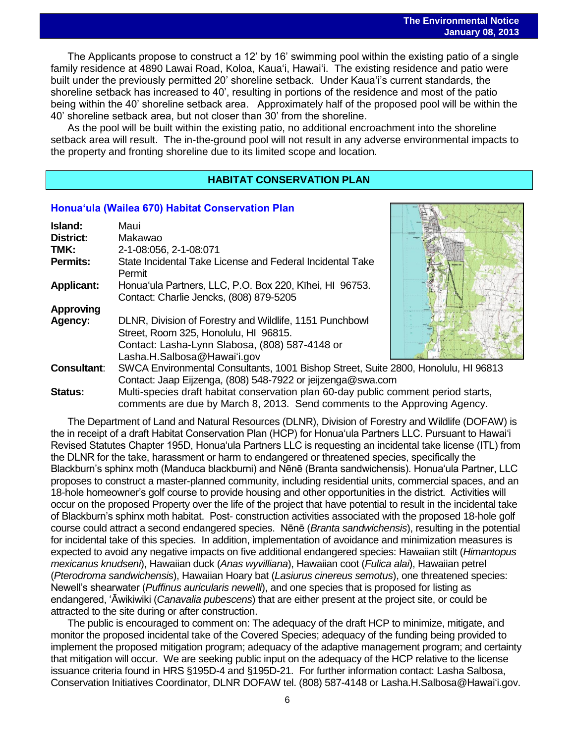The Applicants propose to construct a 12' by 16' swimming pool within the existing patio of a single family residence at 4890 Lawai Road, Koloa, Kauaʻi, Hawaiʻi. The existing residence and patio were built under the previously permitted 20' shoreline setback. Under Kauaʻi's current standards, the shoreline setback has increased to 40', resulting in portions of the residence and most of the patio being within the 40' shoreline setback area. Approximately half of the proposed pool will be within the 40' shoreline setback area, but not closer than 30' from the shoreline.

As the pool will be built within the existing patio, no additional encroachment into the shoreline setback area will result. The in-the-ground pool will not result in any adverse environmental impacts to the property and fronting shoreline due to its limited scope and location.

#### **HABITAT CONSERVATION PLAN**

#### **[Honuaʻula \(Wailea 670\) Habitat Conservation Plan](http://oeqc.doh.hawaii.gov/Shared%20Documents/EA_and_EIS_Online_Library/OTHER%20CHAPTER%20343%20NOTICES/2013-01-08-Honuaula-Wailea-670-Habitat-Conservation-Plan.pdf)**

| Island:            | Maui                                                                                                                                                                              |  |
|--------------------|-----------------------------------------------------------------------------------------------------------------------------------------------------------------------------------|--|
| <b>District:</b>   | Makawao                                                                                                                                                                           |  |
| TMK:               | 2-1-08:056, 2-1-08:071                                                                                                                                                            |  |
| <b>Permits:</b>    | State Incidental Take License and Federal Incidental Take<br>Permit                                                                                                               |  |
| <b>Applicant:</b>  | Honua'ula Partners, LLC, P.O. Box 220, Kihei, HI 96753.<br>Contact: Charlie Jencks, (808) 879-5205                                                                                |  |
| <b>Approving</b>   |                                                                                                                                                                                   |  |
| Agency:            | DLNR, Division of Forestry and Wildlife, 1151 Punchbowl<br>Street, Room 325, Honolulu, HI 96815.<br>Contact: Lasha-Lynn Slabosa, (808) 587-4148 or<br>Lasha.H.Salbosa@Hawai'i.gov |  |
| <b>Consultant:</b> | SWCA Environmental Consultants, 1001 Bishop Street, Suite 2800, Honolulu, HI 96813<br>Contact: Jaap Eijzenga, (808) 548-7922 or jeijzenga@swa.com                                 |  |
| <b>Status:</b>     | Multi-species draft habitat conservation plan 60-day public comment period starts,<br>comments are due by March 8, 2013. Send comments to the Approving Agency.                   |  |

The Department of Land and Natural Resources (DLNR), Division of Forestry and Wildlife (DOFAW) is the in receipt of a draft Habitat Conservation Plan (HCP) for Honuaʻula Partners LLC. Pursuant to Hawaiʻi Revised Statutes Chapter 195D, Honuaʻula Partners LLC is requesting an incidental take license (ITL) from the DLNR for the take, harassment or harm to endangered or threatened species, specifically the Blackburn's sphinx moth (Manduca blackburni) and Nēnē (Branta sandwichensis). Honua'ula Partner, LLC proposes to construct a master-planned community, including residential units, commercial spaces, and an 18-hole homeowner's golf course to provide housing and other opportunities in the district. Activities will occur on the proposed Property over the life of the project that have potential to result in the incidental take of Blackburn's sphinx moth habitat. Post- construction activities associated with the proposed 18-hole golf course could attract a second endangered species. Nene (*Branta sandwichensis*), resulting in the potential for incidental take of this species. In addition, implementation of avoidance and minimization measures is expected to avoid any negative impacts on five additional endangered species: Hawaiian stilt (*Himantopus mexicanus knudseni*), Hawaiian duck (*Anas wyvilliana*), Hawaiian coot (*Fulica alai*), Hawaiian petrel (*Pterodroma sandwichensis*), Hawaiian Hoary bat (*Lasiurus cinereus semotus*), one threatened species: Newell's shearwater (*Puffinus auricularis newelli*), and one species that is proposed for listing as endangered, ʻĀwikiwiki (*Canavalia pubescens*) that are either present at the project site, or could be attracted to the site during or after construction.

The public is encouraged to comment on: The adequacy of the draft HCP to minimize, mitigate, and monitor the proposed incidental take of the Covered Species; adequacy of the funding being provided to implement the proposed mitigation program; adequacy of the adaptive management program; and certainty that mitigation will occur. We are seeking public input on the adequacy of the HCP relative to the license issuance criteria found in HRS §195D-4 and §195D-21. For further information contact: Lasha Salbosa, Conservation Initiatives Coordinator, DLNR DOFAW tel. (808) 587-4148 or Lasha.H.Salbosa@Hawaiʻi.gov.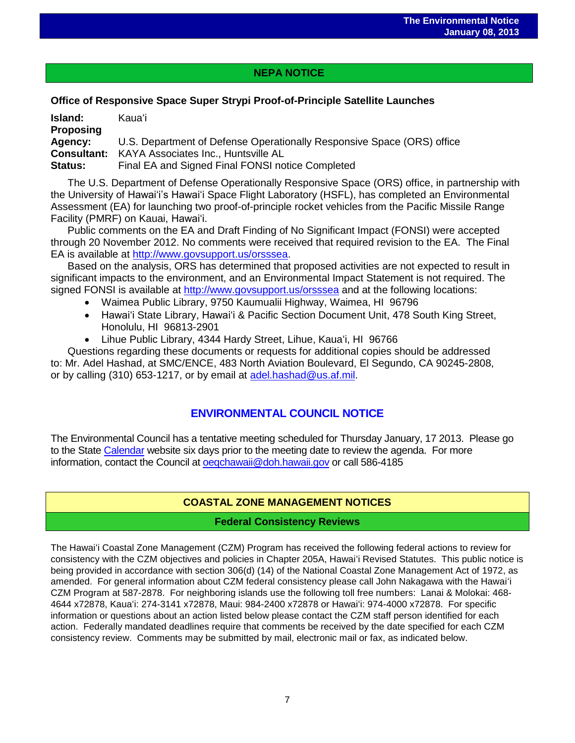## **NEPA NOTICE**

## **Office of Responsive Space Super Strypi Proof-of-Principle Satellite Launches**

| Island:<br><b>Proposing</b> | Kaua'i                                                                 |
|-----------------------------|------------------------------------------------------------------------|
| Agency:                     | U.S. Department of Defense Operationally Responsive Space (ORS) office |
|                             | <b>Consultant:</b> KAYA Associates Inc., Huntsville AL                 |
| <b>Status:</b>              | Final EA and Signed Final FONSI notice Completed                       |

The U.S. Department of Defense Operationally Responsive Space (ORS) office, in partnership with the University of Hawaiʻi's Hawaiʻi Space Flight Laboratory (HSFL), has completed an Environmental Assessment (EA) for launching two proof-of-principle rocket vehicles from the Pacific Missile Range Facility (PMRF) on Kauai, Hawaiʻi.

Public comments on the EA and Draft Finding of No Significant Impact (FONSI) were accepted through 20 November 2012. No comments were received that required revision to the EA. The Final EA is available at [http://www.govsupport.us/orsssea.](http://www.govsupport.us/orsssea)

Based on the analysis, ORS has determined that proposed activities are not expected to result in significant impacts to the environment, and an Environmental Impact Statement is not required. The signed FONSI is available at<http://www.govsupport.us/orsssea> and at the following locations:

- Waimea Public Library, 9750 Kaumualii Highway, Waimea, HI 96796
- Hawai'i State Library, Hawai'i & Pacific Section Document Unit, 478 South King Street, Honolulu, HI 96813-2901
- Lihue Public Library, 4344 Hardy Street, Lihue, Kauaʻi, HI 96766

Questions regarding these documents or requests for additional copies should be addressed to: Mr. Adel Hashad, at SMC/ENCE, 483 North Aviation Boulevard, El Segundo, CA 90245-2808, or by calling (310) 653-1217, or by email at [adel.hashad@us.af.mil.](mailto:adel.hashad@us.af.mil)

## **ENVIRONMENTAL COUNCIL NOTICE**

The Environmental Council has a tentative meeting scheduled for Thursday January, 17 2013. Please go to the Stat[e Calendar](http://calendar.ehawaii.gov/calendar/html/event) website six days prior to the meeting date to review the agenda. For more information, contact the Council at oegchawaii@doh.hawaii.gov or call 586-4185

## **COASTAL ZONE MANAGEMENT NOTICES**

## **Federal Consistency Reviews**

The Hawaiʻi Coastal Zone Management (CZM) Program has received the following federal actions to review for consistency with the CZM objectives and policies in Chapter 205A, Hawaiʻi Revised Statutes. This public notice is being provided in accordance with section 306(d) (14) of the National Coastal Zone Management Act of 1972, as amended. For general information about CZM federal consistency please call John Nakagawa with the Hawaiʻi CZM Program at 587-2878. For neighboring islands use the following toll free numbers: Lanai & Molokai: 468- 4644 x72878, Kauaʻi: 274-3141 x72878, Maui: 984-2400 x72878 or Hawaiʻi: 974-4000 x72878. For specific information or questions about an action listed below please contact the CZM staff person identified for each action. Federally mandated deadlines require that comments be received by the date specified for each CZM consistency review. Comments may be submitted by mail, electronic mail or fax, as indicated below.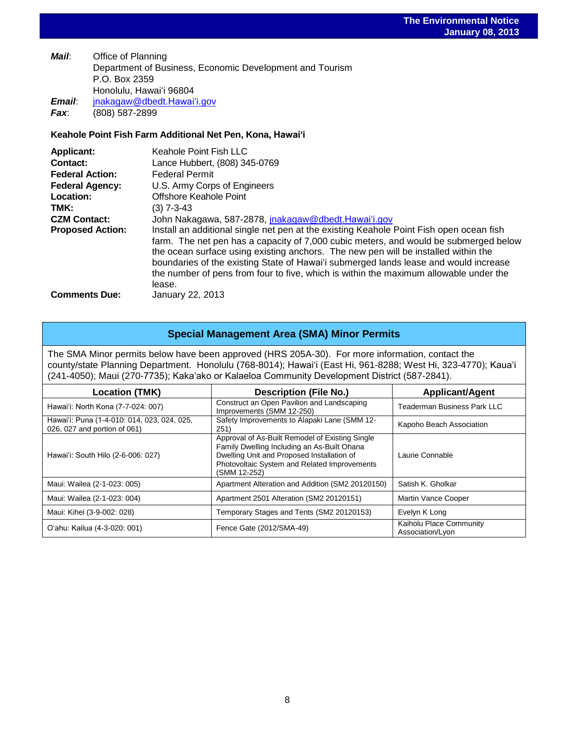*Mail*: Office of Planning Department of Business, Economic Development and Tourism P.O. Box 2359 Honolulu, Hawaiʻi 96804 *Email*: [jnakagaw@dbedt.Hawaiʻi.gov](mailto:jnakagaw@dbedt.hawaii.gov) *Fax*: (808) 587-2899

#### **Keahole Point Fish Farm Additional Net Pen, Kona, Hawaiʻi**

| <b>Applicant:</b>       | <b>Keahole Point Fish LLC</b>                                                           |
|-------------------------|-----------------------------------------------------------------------------------------|
| Contact:                | Lance Hubbert, (808) 345-0769                                                           |
| <b>Federal Action:</b>  | <b>Federal Permit</b>                                                                   |
| <b>Federal Agency:</b>  | U.S. Army Corps of Engineers                                                            |
| Location:               | Offshore Keahole Point                                                                  |
| TMK:                    | $(3)$ 7-3-43                                                                            |
| <b>CZM Contact:</b>     | John Nakagawa, 587-2878, jnakagaw@dbedt.Hawai'i.gov                                     |
| <b>Proposed Action:</b> | Install an additional single net pen at the existing Keahole Point Fish open ocean fish |
|                         | farm. The net pen has a capacity of 7,000 cubic meters, and would be submerged below    |
|                         | the ocean surface using existing anchors. The new pen will be installed within the      |
|                         | boundaries of the existing State of Hawai'i submerged lands lease and would increase    |
|                         | the number of pens from four to five, which is within the maximum allowable under the   |
|                         | lease.                                                                                  |
| <b>Comments Due:</b>    | January 22, 2013                                                                        |

#### **Special Management Area (SMA) Minor Permits**

The SMA Minor permits below have been approved (HRS 205A-30). For more information, contact the county/state Planning Department. Honolulu (768-8014); Hawaiʻi (East Hi, 961-8288; West Hi, 323-4770); Kauaʻi (241-4050); Maui (270-7735); Kakaʻako or Kalaeloa Community Development District (587-2841).

| Location (TMK)                                                              | <b>Description (File No.)</b>                                                                                                                                                                                | <b>Applicant/Agent</b>                      |
|-----------------------------------------------------------------------------|--------------------------------------------------------------------------------------------------------------------------------------------------------------------------------------------------------------|---------------------------------------------|
| Hawai'i: North Kona (7-7-024: 007)                                          | Construct an Open Pavilion and Landscaping<br>Improvements (SMM 12-250)                                                                                                                                      | Teaderman Business Park LLC                 |
| Hawai'i: Puna (1-4-010: 014, 023, 024, 025,<br>026, 027 and portion of 061) | Safety Improvements to Alapaki Lane (SMM 12-<br>251)                                                                                                                                                         | Kapoho Beach Association                    |
| Hawai'i: South Hilo (2-6-006: 027)                                          | Approval of As-Built Remodel of Existing Single<br>Family Dwelling Including an As-Built Ohana<br>Dwelling Unit and Proposed Installation of<br>Photovoltaic System and Related Improvements<br>(SMM 12-252) | Laurie Connable                             |
| Maui: Wailea (2-1-023: 005)                                                 | Apartment Alteration and Addition (SM2 20120150)                                                                                                                                                             | Satish K. Gholkar                           |
| Maui: Wailea (2-1-023: 004)                                                 | Apartment 2501 Alteration (SM2 20120151)                                                                                                                                                                     | Martin Vance Cooper                         |
| Maui: Kihei (3-9-002: 028)                                                  | Temporary Stages and Tents (SM2 20120153)                                                                                                                                                                    | Evelyn K Long                               |
| O'ahu: Kailua (4-3-020: 001)                                                | Fence Gate (2012/SMA-49)                                                                                                                                                                                     | Kaiholu Place Community<br>Association/Lyon |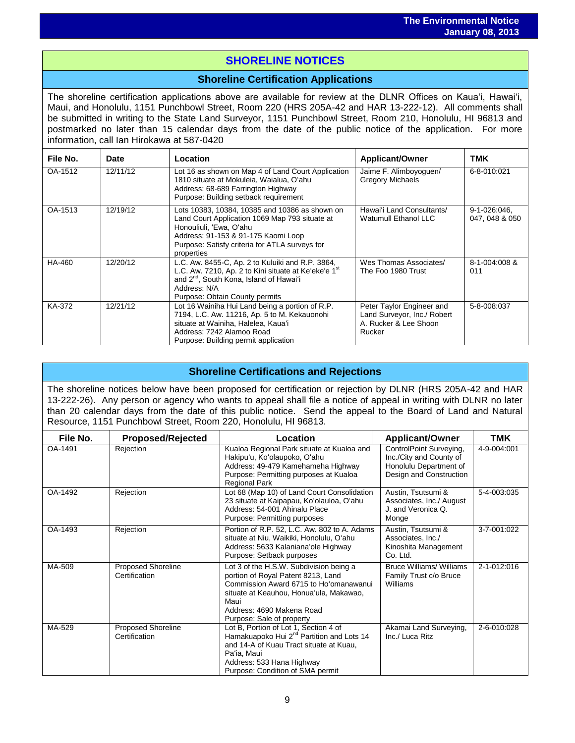## i<br>I **SHORELINE NOTICES**

## **Shoreline Certification Applications**

The shoreline certification applications above are available for review at the DLNR Offices on Kauaʻi, Hawaiʻi, Maui, and Honolulu, 1151 Punchbowl Street, Room 220 (HRS 205A-42 and HAR 13-222-12). All comments shall be submitted in writing to the State Land Surveyor, 1151 Punchbowl Street, Room 210, Honolulu, HI 96813 and postmarked no later than 15 calendar days from the date of the public notice of the application. For more information, call Ian Hirokawa at 587-0420

| File No. | <b>Date</b> | Location                                                                                                                                                                                                                           | <b>Applicant/Owner</b>                                                                      | TMK                            |
|----------|-------------|------------------------------------------------------------------------------------------------------------------------------------------------------------------------------------------------------------------------------------|---------------------------------------------------------------------------------------------|--------------------------------|
| OA-1512  | 12/11/12    | Lot 16 as shown on Map 4 of Land Court Application<br>1810 situate at Mokuleia, Waialua, O'ahu<br>Address: 68-689 Farrington Highway<br>Purpose: Building setback requirement                                                      | Jaime F. Alimboyoguen/<br><b>Gregory Michaels</b>                                           | 6-8-010:021                    |
| OA-1513  | 12/19/12    | Lots 10383, 10384, 10385 and 10386 as shown on<br>Land Court Application 1069 Map 793 situate at<br>Honouliuli, 'Ewa, O'ahu<br>Address: 91-153 & 91-175 Kaomi Loop<br>Purpose: Satisfy criteria for ATLA surveys for<br>properties | Hawai'i Land Consultants/<br>Watumull Ethanol LLC                                           | 9-1-026:046,<br>047, 048 & 050 |
| HA-460   | 12/20/12    | L.C. Aw. 8455-C, Ap. 2 to Kuluiki and R.P. 3864,<br>L.C. Aw. 7210, Ap. 2 to Kini situate at Ke'eke'e 1st<br>and 2 <sup>nd</sup> , South Kona, Island of Hawai'i<br>Address: N/A<br>Purpose: Obtain County permits                  | Wes Thomas Associates/<br>The Foo 1980 Trust                                                | 8-1-004:008 &<br>011           |
| KA-372   | 12/21/12    | Lot 16 Wainiha Hui Land being a portion of R.P.<br>7194, L.C. Aw. 11216, Ap. 5 to M. Kekauonohi<br>situate at Wainiha, Halelea, Kaua'i<br>Address: 7242 Alamoo Road<br>Purpose: Building permit application                        | Peter Taylor Engineer and<br>Land Surveyor, Inc./ Robert<br>A. Rucker & Lee Shoon<br>Rucker | 5-8-008:037                    |

## **Shoreline Certifications and Rejections**

The shoreline notices below have been proposed for certification or rejection by DLNR (HRS 205A-42 and HAR 13-222-26). Any person or agency who wants to appeal shall file a notice of appeal in writing with DLNR no later than 20 calendar days from the date of this public notice. Send the appeal to the Board of Land and Natural Resource, 1151 Punchbowl Street, Room 220, Honolulu, HI 96813.

| File No. | <b>Proposed/Rejected</b>                   | Location                                                                                                                                                                                                                             | <b>Applicant/Owner</b>                                                                                  | TMK         |
|----------|--------------------------------------------|--------------------------------------------------------------------------------------------------------------------------------------------------------------------------------------------------------------------------------------|---------------------------------------------------------------------------------------------------------|-------------|
| OA-1491  | Rejection                                  | Kualoa Regional Park situate at Kualoa and<br>Hakipu'u, Ko'olaupoko, O'ahu<br>Address: 49-479 Kamehameha Highway<br>Purpose: Permitting purposes at Kualoa<br><b>Regional Park</b>                                                   | ControlPoint Surveying,<br>Inc./City and County of<br>Honolulu Department of<br>Design and Construction | 4-9-004:001 |
| OA-1492  | Rejection                                  | Lot 68 (Map 10) of Land Court Consolidation<br>23 situate at Kaipapau, Ko'olauloa, O'ahu<br>Address: 54-001 Ahinalu Place<br>Purpose: Permitting purposes                                                                            | Austin, Tsutsumi &<br>Associates, Inc./ August<br>J. and Veronica Q.<br>Monge                           | 5-4-003:035 |
| OA-1493  | Rejection                                  | Portion of R.P. 52, L.C. Aw. 802 to A. Adams<br>situate at Niu, Waikiki, Honolulu, O'ahu<br>Address: 5633 Kalaniana'ole Highway<br>Purpose: Setback purposes                                                                         | Austin, Tsutsumi &<br>Associates, Inc./<br>Kinoshita Management<br>Co. Ltd.                             | 3-7-001:022 |
| MA-509   | <b>Proposed Shoreline</b><br>Certification | Lot 3 of the H.S.W. Subdivision being a<br>portion of Royal Patent 8213, Land<br>Commission Award 6715 to Ho'omanawanui<br>situate at Keauhou, Honua'ula, Makawao,<br>Maui<br>Address: 4690 Makena Road<br>Purpose: Sale of property | <b>Bruce Williams/ Williams</b><br>Family Trust c/o Bruce<br>Williams                                   | 2-1-012:016 |
| MA-529   | <b>Proposed Shoreline</b><br>Certification | Lot B, Portion of Lot 1, Section 4 of<br>Hamakuapoko Hui 2 <sup>nd</sup> Partition and Lots 14<br>and 14-A of Kuau Tract situate at Kuau,<br>Pa'ia, Maui<br>Address: 533 Hana Highway<br>Purpose: Condition of SMA permit            | Akamai Land Surveying,<br>Inc./ Luca Ritz                                                               | 2-6-010:028 |